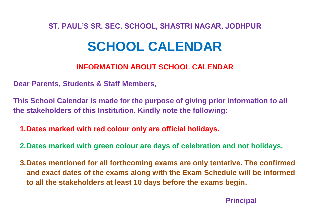## **ST. PAUL'S SR. SEC. SCHOOL, SHASTRI NAGAR, JODHPUR**

# **SCHOOL CALENDAR**

## **INFORMATION ABOUT SCHOOL CALENDAR**

**Dear Parents, Students & Staff Members,**

**This School Calendar is made for the purpose of giving prior information to all the stakeholders of this Institution. Kindly note the following:**

**1.Dates marked with red colour only are official holidays.**

**2.Dates marked with green colour are days of celebration and not holidays.**

**3.Dates mentioned for all forthcoming exams are only tentative. The confirmed and exact dates of the exams along with the Exam Schedule will be informed to all the stakeholders at least 10 days before the exams begin.**

 **Principal**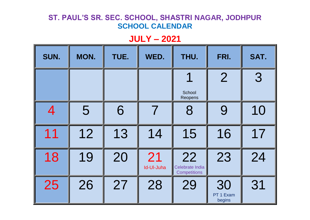## **JULY – 2021**

| SUN.           | MON. | TUE. | WED.             | THU.                                         | FRI.                      | SAT. |
|----------------|------|------|------------------|----------------------------------------------|---------------------------|------|
|                |      |      |                  | ◢<br>School                                  | $\overline{2}$            | 3    |
|                |      |      |                  | Reopens                                      |                           |      |
| $\overline{4}$ | 5    | 6    | 7                | 8                                            | 9                         | 10   |
| 11             | 12   | 13   | 14               | 15                                           | 16                        | 17   |
| 18             | 19   | 20   | 21<br>Id-Ul-Juha | 22<br>Celebrate India<br><b>Competitions</b> | 23                        | 24   |
| 25             | 26   | 27   | 28               | 29                                           | 30<br>PT 1 Exam<br>begins | 31   |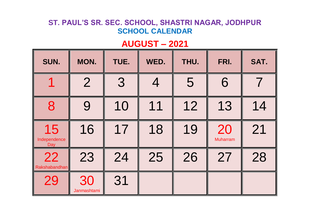# **AUGUST – 2021**

| SUN.                      | MON.              | TUE. | WED. | THU. | FRI.                  | SAT. |
|---------------------------|-------------------|------|------|------|-----------------------|------|
|                           | $\overline{2}$    | 3    |      | 5    | 6                     |      |
| 8                         | 9                 | 10   | 11   | 12   | 13                    | 14   |
| 15<br>Independence<br>Day | 16                | 17   | 18   | 19   | 20<br><b>Muharram</b> | 21   |
| 22<br>Rakshabandhan       | 23                | 24   | 25   | 26   | 27                    | 28   |
| 29                        | 30<br>Janmashtami | 31   |      |      |                       |      |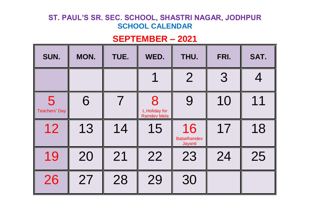# **SEPTEMBER – 2021**

| SUN.                      | MON. | TUE. | WED.                                     | THU.                               | FRI. | SAT. |
|---------------------------|------|------|------------------------------------------|------------------------------------|------|------|
|                           |      |      |                                          | $\overline{2}$                     | 3    |      |
| 5<br><b>Teachers' Day</b> | 6    |      | 8<br>L.Holiday for<br><b>Ramdev Mela</b> | 9                                  | 10   | 11   |
| 12                        | 13   | 14   | 15                                       | 16<br><b>BabaRamdev</b><br>Jayanti | 17   | 18   |
| 19                        | 20   | 21   | 22                                       | 23                                 | 24   | 25   |
| 26                        | 27   | 28   | 29                                       | 30                                 |      |      |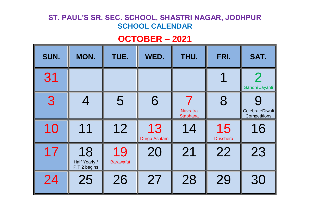# **OCTOBER – 2021**

| SUN. | MON.                                | TUE.                   | WED.                | THU.                               | FRI.                  | SAT.                                   |
|------|-------------------------------------|------------------------|---------------------|------------------------------------|-----------------------|----------------------------------------|
| 31   |                                     |                        |                     |                                    |                       | $\mathcal P$<br>Gandhi Jayanti         |
| 3    | 4                                   | 5                      | 6                   | <b>Navratra</b><br><b>Staphana</b> | 8                     | CelebrateDiwali<br><b>Competitions</b> |
| 10   | 11                                  | 12                     | 13<br>Durga Ashtami | 14                                 | 15<br><b>Dusshera</b> | 16                                     |
| 17   | 18<br>Half Yearly /<br>P.T.2 begins | 19<br><b>Barawafat</b> | 20                  | 21                                 | 22                    | 23                                     |
| 24   | 25                                  | 26                     | 27                  | 28                                 | 29                    | 30                                     |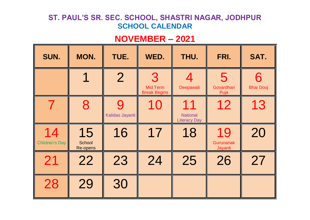## **NOVEMBER – 2021**

| SUN.                        | MON.                            | TUE.                 | WED.                                        | THU.                                         | FRI.                       | SAT.                  |
|-----------------------------|---------------------------------|----------------------|---------------------------------------------|----------------------------------------------|----------------------------|-----------------------|
|                             |                                 | $\overline{2}$       | 3<br><b>Mid Term</b><br><b>Break Begins</b> | Deepawali                                    | 5<br>Govardhan<br>Puja     | 6<br><b>Bhai Dooj</b> |
|                             | 8                               | 9<br>Kalidas Jayanti | 10                                          | 11<br><b>National</b><br><b>Literacy Day</b> | 12                         | 13                    |
| 14<br><b>Children's Day</b> | 15<br>School<br><b>Re-opens</b> | 16                   | 17                                          | 18                                           | 19<br>Gurunanak<br>Jayanti | 20                    |
| 21                          | 22                              | 23                   | 24                                          | 25                                           | 26                         | 27                    |
| 28                          | 29                              | 30                   |                                             |                                              |                            |                       |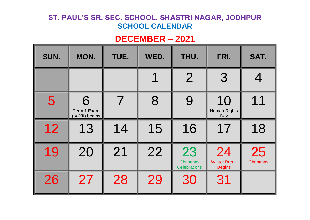# **DECEMBER – 2021**

| SUN. | MON.                                | TUE. | WED. | THU.                                          | FRI.                                       | SAT.                   |
|------|-------------------------------------|------|------|-----------------------------------------------|--------------------------------------------|------------------------|
|      |                                     |      |      | $\overline{2}$                                | 3                                          |                        |
| 5    | 6<br>Term 1 Exam<br>(IX-XII) begins |      | 8    | 9                                             | 10<br>Human Rights<br>Day                  | 11                     |
| 12   | 13                                  | 14   | 15   | 16                                            | 17                                         | 18                     |
| 19   | 20                                  | 21   | 22   | 23<br><b>Christmas</b><br><b>Celebrations</b> | 24<br><b>Winter Break</b><br><b>Begins</b> | 25<br><b>Christmas</b> |
| 26   | 27                                  | 28   | 29   | 30                                            | 31                                         |                        |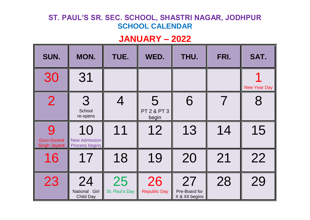## **JANUARY – 2022**

| SUN.                                | MON.                                                | TUE.                 | WED.                                 | THU.                                  | FRI.                     | SAT.                |
|-------------------------------------|-----------------------------------------------------|----------------------|--------------------------------------|---------------------------------------|--------------------------|---------------------|
| 30                                  | 31                                                  |                      |                                      |                                       |                          | <b>New Year Day</b> |
| $\overline{2}$                      | 3<br>School<br>re-opens                             |                      | 5<br><b>PT 2 &amp; PT 3</b><br>begin | 6                                     | $\overline{\mathcal{I}}$ | 8                   |
| <b>Guru Govind</b><br>Singh Jayanti | 10<br><b>New Admission</b><br><b>Process begins</b> | 11                   | 12                                   | 13                                    | 14                       | 15                  |
| 16                                  | 17                                                  | 18                   | 19                                   | 20                                    | 21                       | 22                  |
| 23                                  | 24<br>National Girl<br>Child Day                    | 25<br>St. Paul's Day | 26<br><b>Republic Day</b>            | 27<br>Pre-Board for<br>X & XII begins | 28                       | 29                  |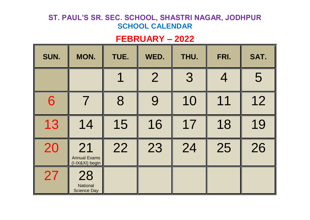## **FEBRUARY – 2022**

| SUN. | MON.                                         | TUE. | WED.           | THU. | FRI. | SAT. |
|------|----------------------------------------------|------|----------------|------|------|------|
|      |                                              |      | $\overline{2}$ | 3    |      | 5    |
| 6    |                                              | 8    | 9              | 10   | 11   | 12   |
| 13   | 14                                           | 15   | 16             | 17   | 18   | 19   |
| 20   | 21<br><b>Annual Exams</b><br>(I-IX&XI) begin | 22   | 23             | 24   | 25   | 26   |
| 27   | 28<br>National<br><b>Science Day</b>         |      |                |      |      |      |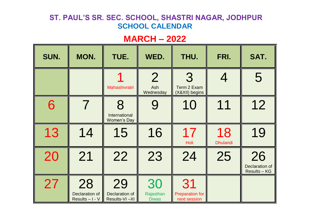# **MARCH – 2022**

| SUN. | MON.                                    | TUE.                                     | WED.                               | THU.                                         | FRI.                  | SAT.                                             |
|------|-----------------------------------------|------------------------------------------|------------------------------------|----------------------------------------------|-----------------------|--------------------------------------------------|
|      |                                         | Mahashivratri                            | $\overline{2}$<br>Ash<br>Wednesday | 3<br>Term 2 Exam<br>(X&XII) begins           |                       | 5                                                |
| 6    | $\boldsymbol{7}$                        | 8<br>International<br><b>Women's Day</b> |                                    | 10                                           | 11                    | 12                                               |
| 13   | 14                                      | 15                                       | 16                                 | 17<br>Holi                                   | 18<br><b>Dhulandi</b> | 19                                               |
| 20   | 21                                      | 22                                       | 23                                 | 24                                           | 25                    | 26<br><b>Declaration of</b><br><b>Results-KG</b> |
| 27   | 28<br>Declaration of<br>Results - I - V | 29<br>Declaration of<br>Results-VI-XI    | 30<br>Rajasthan<br><b>Diwas</b>    | 31<br><b>Preparation for</b><br>next session |                       |                                                  |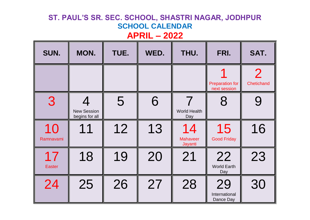| SUN.                | MON.                                 | TUE. | WED. | THU.                             | FRI.                                   | SAT.                         |
|---------------------|--------------------------------------|------|------|----------------------------------|----------------------------------------|------------------------------|
|                     |                                      |      |      |                                  | <b>Preparation for</b><br>next session | $\overline{2}$<br>Chetichand |
| 3                   | <b>New Session</b><br>begins for all | 5    | 6    | 7<br><b>World Health</b><br>Day  | 8                                      |                              |
| 10<br>Ramnavami     | 11                                   | 12   | 13   | 14<br><b>Mahaveer</b><br>Jayanti | 15<br><b>Good Friday</b>               | 16                           |
| 17<br><b>Easter</b> | 18                                   | 19   | 20   | 21                               | 22<br><b>World Earth</b><br>Day        | 23                           |
| 24                  | 25                                   | 26   | 27   | 28                               | 29<br>International<br>Dance Day       | 30                           |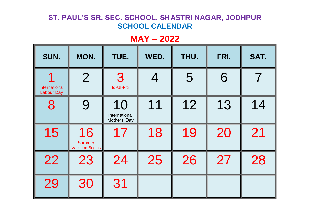## **MAY – 2022**

| SUN.                                      | MON.                                          | TUE.                                | WED. | THU. | FRI. | SAT. |
|-------------------------------------------|-----------------------------------------------|-------------------------------------|------|------|------|------|
| <b>International</b><br><b>Labour Day</b> | $\overline{2}$                                | 3<br><b>Id-UI-Fitr</b>              |      | 5    | 6    |      |
| 8                                         | 9                                             | 10<br>International<br>Mothers' Day | 11   | 12   | 13   | 14   |
| 15                                        | 16<br><b>Summer</b><br><b>Vacation Begins</b> | 17                                  | 18   | 19   | 20   | 21   |
| 22                                        | 23                                            | 24                                  | 25   | 26   | 27   | 28   |
| 29                                        | 30                                            | 31                                  |      |      |      |      |